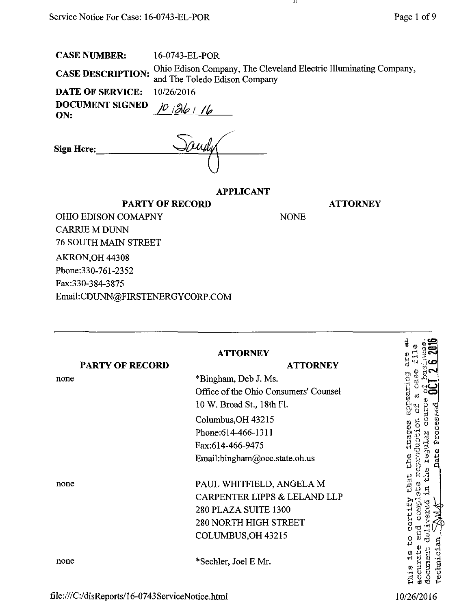16-0743-EL-POR **CASE DESCRIPTION:** Ohio Edison Company, The Cleveland Electric Illuminating Company, and The Toledo Edison Company

-11

NONE

DATE OF SERVICE:<br>DOCUMENT SIGNED

DOCUMENT SIGNED  $\frac{10}{6}$   $\frac{36}{16}$ 

| Sign Here: | $\Delta$ and $\Delta$ |  |
|------------|-----------------------|--|
|            |                       |  |

## APPLICANT

**ATTORNEY** 

OHIO EDISON COMAPNY CARRIE M DUNN 76 SOUTH MAIN STREET AKRON,OH 44308

Phone:330-761-2352

Fax:330-384-3875

Email:[CDUNN@FIRSTENERGYCORP.COM](mailto:CDUNN@FIRSTENERGYCORP.COM) 

PARTY OF RECORD

| <b>PARTY OF RECORD</b> | <b>ATTORNEY</b><br><b>ATTORNEY</b>                                                                                                                                                           | à<br>រ<br>ប                                                                    |
|------------------------|----------------------------------------------------------------------------------------------------------------------------------------------------------------------------------------------|--------------------------------------------------------------------------------|
| none                   | *Bingham, Deb J. Ms.<br>Office of the Ohio Consumers' Counsel<br>10 W. Broad St., 18th Fl.<br>Columbus, OH 43215<br>Phone: 614-466-1311<br>Fax:614-466-9475<br>Email:bingham@occ.state.oh.us | currection<br>-63<br>esesc<br>υ<br>$\frac{5}{\alpha}$<br>ុម្ពស<br>コロッキ<br>Date |
| none                   | PAUL WHITFIELD, ANGELA M<br>CARPENTER LIPPS & LELAND LLP<br>280 PLAZA SUITE 1300<br><b>280 NORTH HIGH STREET</b><br>COLUMBUS, OH 43215                                                       | ر<br>په<br>3380                                                                |
| none                   | *Sechler, Joel E Mr.                                                                                                                                                                         | <b>Vechnician</b><br>document<br>cura<br>ď                                     |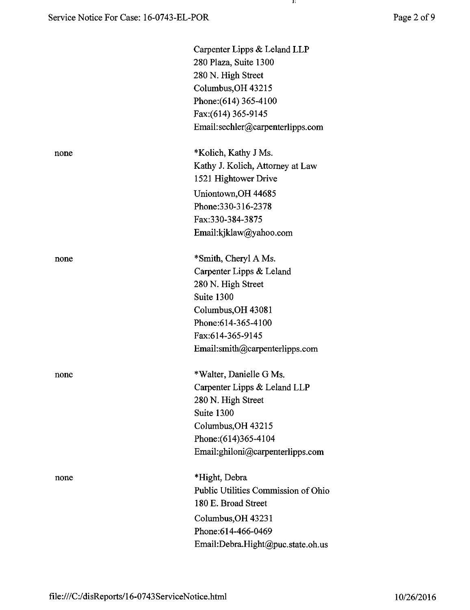|      | Carpenter Lipps & Leland LLP        |
|------|-------------------------------------|
|      | 280 Plaza, Suite 1300               |
|      | 280 N. High Street                  |
|      | Columbus, OH 43215                  |
|      | Phone: (614) 365-4100               |
|      | Fax: (614) 365-9145                 |
|      | Email:sechler@carpenterlipps.com    |
| none | *Kolich, Kathy J Ms.                |
|      | Kathy J. Kolich, Attorney at Law    |
|      | 1521 Hightower Drive                |
|      | Uniontown, OH 44685                 |
|      | Phone: 330-316-2378                 |
|      | Fax:330-384-3875                    |
|      | Email:kjklaw@yahoo.com              |
| none | *Smith, Cheryl A Ms.                |
|      | Carpenter Lipps & Leland            |
|      | 280 N. High Street                  |
|      | Suite 1300                          |
|      | Columbus, OH 43081                  |
|      | Phone: 614-365-4100                 |
|      | Fax:614-365-9145                    |
|      | Email:smith@carpenterlipps.com      |
| none | *Walter, Danielle G Ms.             |
|      | Carpenter Lipps & Leland LLP        |
|      | 280 N. High Street                  |
|      | Suite 1300                          |
|      | Columbus, OH 43215                  |
|      | Phone: (614) 365-4104               |
|      | Email:ghiloni@carpenterlipps.com    |
| none | *Hight, Debra                       |
|      | Public Utilities Commission of Ohio |
|      | 180 E. Broad Street                 |
|      | Columbus, OH 43231                  |
|      | Phone: 614-466-0469                 |
|      | Email:Debra.Hight@puc.state.oh.us   |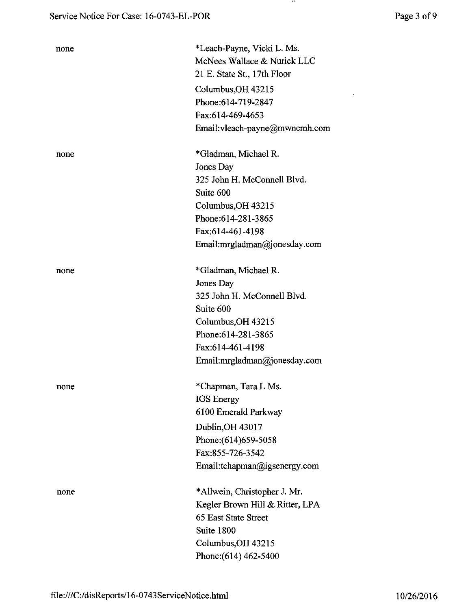| none | *Leach-Payne, Vicki L. Ms.<br>McNees Wallace & Nurick LLC |
|------|-----------------------------------------------------------|
|      | 21 E. State St., 17th Floor                               |
|      |                                                           |
|      | Columbus, OH 43215                                        |
|      | Phone: 614-719-2847                                       |
|      | Fax:614-469-4653                                          |
|      | Email:vleach-payne@mwncmh.com                             |
| none | *Gladman, Michael R.                                      |
|      | Jones Day                                                 |
|      | 325 John H. McConnell Blvd.                               |
|      | Suite 600                                                 |
|      | Columbus, OH 43215                                        |
|      | Phone: 614-281-3865                                       |
|      | Fax:614-461-4198                                          |
|      | Email:mrgladman@jonesday.com                              |
| none | *Gladman, Michael R.                                      |
|      | Jones Day                                                 |
|      | 325 John H. McConnell Blvd.                               |
|      | Suite 600                                                 |
|      | Columbus, OH 43215                                        |
|      | Phone: 614-281-3865                                       |
|      | Fax:614-461-4198                                          |
|      | Email:mrgladman@jonesday.com                              |
| none | *Chapman, Tara L Ms.                                      |
|      | <b>IGS</b> Energy                                         |
|      | 6100 Emerald Parkway                                      |
|      | Dublin, OH 43017                                          |
|      | Phone: (614) 659-5058                                     |
|      | Fax:855-726-3542                                          |
|      | Email:tchapman@igsenergy.com                              |
| none | *Allwein, Christopher J. Mr.                              |
|      | Kegler Brown Hill & Ritter, LPA                           |
|      | 65 East State Street                                      |
|      | Suite 1800                                                |
|      | Columbus, OH 43215                                        |
|      | Phone: (614) 462-5400                                     |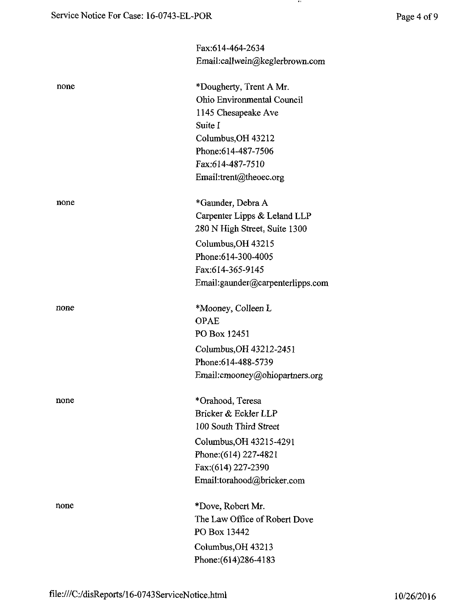$\mathcal{A}$  .

|      | Fax:614-464-2634                 |
|------|----------------------------------|
|      | Email:callwein@keglerbrown.com   |
| none | *Dougherty, Trent A Mr.          |
|      | Ohio Environmental Council       |
|      | 1145 Chesapeake Ave              |
|      | Suite I                          |
|      | Columbus, OH 43212               |
|      | Phone: 614-487-7506              |
|      | Fax:614-487-7510                 |
|      | Email:trent@theoec.org           |
| none | *Gaunder, Debra A                |
|      | Carpenter Lipps & Leland LLP     |
|      | 280 N High Street, Suite 1300    |
|      | Columbus, OH 43215               |
|      | Phone: 614-300-4005              |
|      | Fax:614-365-9145                 |
|      | Email:gaunder@carpenterlipps.com |
| none | *Mooney, Colleen L               |
|      | <b>OPAE</b>                      |
|      | PO Box 12451                     |
|      | Columbus, OH 43212-2451          |
|      | Phone: 614-488-5739              |
|      | Email: cmooney@ohiopartners.org  |
| none | *Orahood, Teresa                 |
|      | Bricker & Eckler LLP             |
|      | 100 South Third Street           |
|      | Columbus, OH 43215-4291          |
|      | Phone: (614) 227-4821            |
|      | Fax:(614) 227-2390               |
|      | Email:torahood@bricker.com       |
| none | *Dove, Robert Mr.                |
|      | The Law Office of Robert Dove    |
|      | PO Box 13442                     |
|      | Columbus, OH 43213               |
|      | Phone: (614) 286-4183            |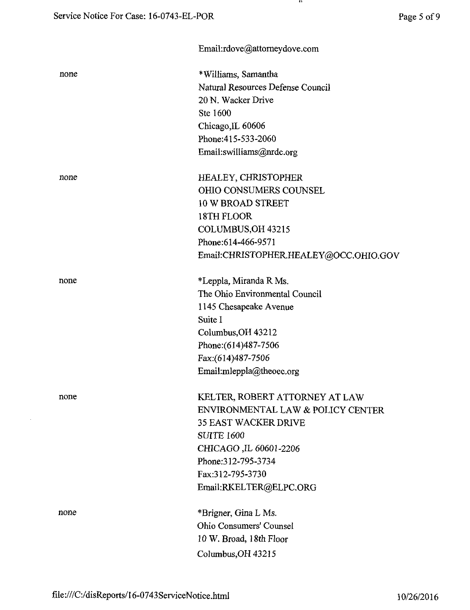|      | Email:rdove@attorneydove.com          |
|------|---------------------------------------|
| none | *Williams, Samantha                   |
|      | Natural Resources Defense Council     |
|      | 20 N. Wacker Drive                    |
|      | Ste 1600                              |
|      | Chicago, IL 60606                     |
|      | Phone: 415-533-2060                   |
|      | Email:swilliams@nrdc.org              |
| none | <b>HEALEY, CHRISTOPHER</b>            |
|      | <b>OHIO CONSUMERS COUNSEL</b>         |
|      | 10 W BROAD STREET                     |
|      | 18TH FLOOR                            |
|      | COLUMBUS, OH 43215                    |
|      | Phone: 614-466-9571                   |
|      | Email:CHRISTOPHER.HEALEY@OCC.OHIO.GOV |
| none | *Leppla, Miranda R Ms.                |
|      | The Ohio Environmental Council        |
|      | 1145 Chesapeake Avenue                |
|      | Suite I                               |
|      | Columbus, OH 43212                    |
|      | Phone: (614) 487-7506                 |
|      | Fax:(614)487-7506                     |
|      | Email:mleppla@theoec.org              |
| none | KELTER, ROBERT ATTORNEY AT LAW        |
|      | ENVIRONMENTAL LAW & POLICY CENTER     |
|      | <b>35 EAST WACKER DRIVE</b>           |
|      | <b>SUITE 1600</b>                     |
|      | CHICAGO, IL 60601-2206                |
|      | Phone: 312-795-3734                   |
|      | Fax:312-795-3730                      |
|      | Email:RKELTER@ELPC.ORG                |
| none | *Brigner, Gina L Ms.                  |
|      | Ohio Consumers' Counsel               |
|      | 10 W. Broad, 18th Floor               |
|      | Columbus, OH 43215                    |

 $\mathcal{A}$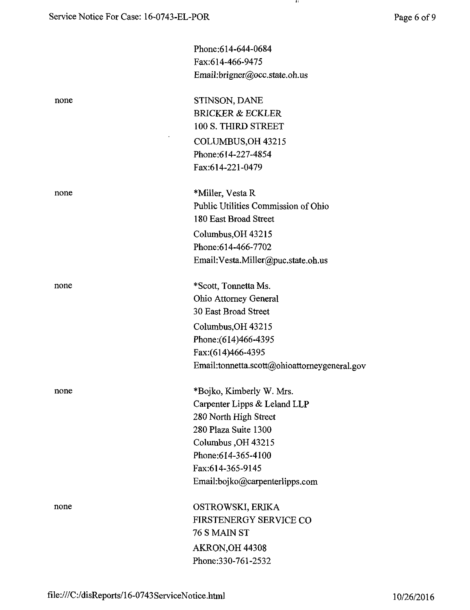$\mathbf{u}$ 

|      | Phone: 614-644-0684                          |
|------|----------------------------------------------|
|      | Fax:614-466-9475                             |
|      | Email:brigner@occ.state.oh.us                |
| none | STINSON, DANE                                |
|      | <b>BRICKER &amp; ECKLER</b>                  |
|      | 100 S. THIRD STREET                          |
|      | COLUMBUS, OH 43215                           |
|      | Phone:614-227-4854                           |
|      | Fax:614-221-0479                             |
| none | *Miller, Vesta R                             |
|      | Public Utilities Commission of Ohio          |
|      | 180 East Broad Street                        |
|      | Columbus, OH 43215                           |
|      | Phone: 614-466-7702                          |
|      | Email: Vesta. Miller@puc.state.oh.us         |
| none | *Scott, Tonnetta Ms.                         |
|      | Ohio Attorney General                        |
|      | 30 East Broad Street                         |
|      | Columbus, OH 43215                           |
|      | Phone: (614)466-4395                         |
|      | Fax: (614) 466-4395                          |
|      | Email:tonnetta.scott@ohioattorneygeneral.gov |
| none | *Bojko, Kimberly W. Mrs.                     |
|      | Carpenter Lipps & Leland LLP                 |
|      | 280 North High Street                        |
|      | 280 Plaza Suite 1300                         |
|      | Columbus, OH 43215                           |
|      | Phone: 614-365-4100                          |
|      | Fax:614-365-9145                             |
|      | Email:bojko@carpenterlipps.com               |
| none | OSTROWSKI, ERIKA                             |
|      | FIRSTENERGY SERVICE CO                       |
|      | 76 S MAIN ST                                 |
|      | AKRON, OH 44308                              |
|      | Phone: 330-761-2532                          |
|      |                                              |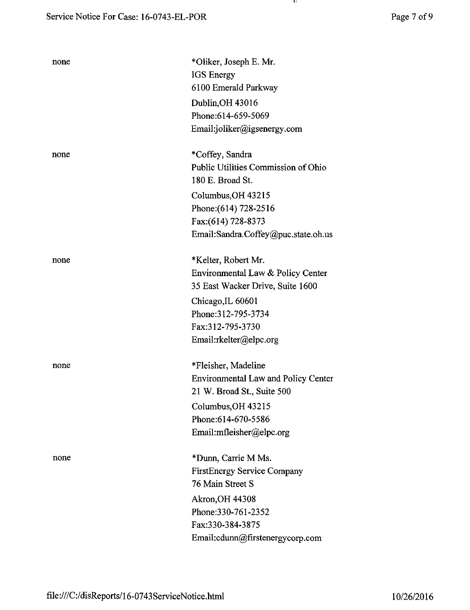| none | *Oliker, Joseph E. Mr.                     |
|------|--------------------------------------------|
|      | <b>IGS</b> Energy                          |
|      | 6100 Emerald Parkway                       |
|      | Dublin, OH 43016                           |
|      | Phone:614-659-5069                         |
|      | Email:joliker@igsenergy.com                |
| none | *Coffey, Sandra                            |
|      | Public Utilities Commission of Ohio        |
|      | 180 E. Broad St.                           |
|      | Columbus, OH 43215                         |
|      | Phone: (614) 728-2516                      |
|      | Fax:(614) 728-8373                         |
|      | Email:Sandra.Coffey@puc.state.oh.us        |
| none | *Kelter, Robert Mr.                        |
|      | Environmental Law & Policy Center          |
|      | 35 East Wacker Drive, Suite 1600           |
|      | Chicago, IL 60601                          |
|      | Phone: 312-795-3734                        |
|      | Fax:312-795-3730                           |
|      | Email:rkelter@elpc.org                     |
| none | *Fleisher, Madeline                        |
|      | <b>Environmental Law and Policy Center</b> |
|      | 21 W. Broad St., Suite 500                 |
|      | Columbus, OH 43215                         |
|      | Phone:614-670-5586                         |
|      | Email:mfleisher@elpc.org                   |
| none | *Dunn, Carrie M Ms.                        |
|      | <b>FirstEnergy Service Company</b>         |
|      | 76 Main Street S                           |
|      | <b>Akron, OH 44308</b>                     |
|      | Phone: 330-761-2352                        |
|      | Fax:330-384-3875                           |

 $\mathbf{u}$ 

Email:[cdunn@firstenergycorp.com](mailto:cdunn@firstenergycorp.com)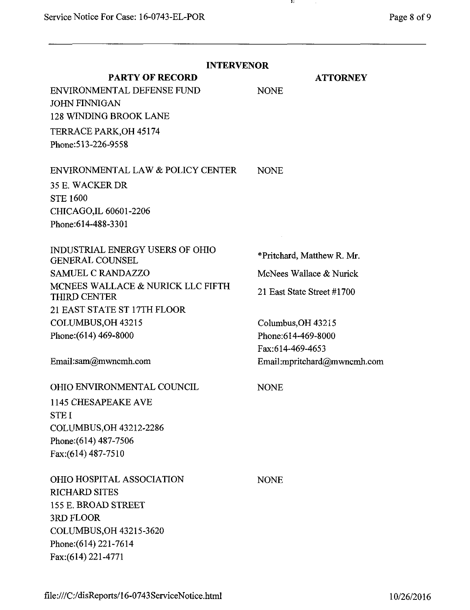$\sim$ 

| <b>INTERVENOR</b>                                                                                                                                                                                                                                |                                                                                                                                                                                     |  |
|--------------------------------------------------------------------------------------------------------------------------------------------------------------------------------------------------------------------------------------------------|-------------------------------------------------------------------------------------------------------------------------------------------------------------------------------------|--|
| <b>PARTY OF RECORD</b><br>ENVIRONMENTAL DEFENSE FUND<br><b>JOHN FINNIGAN</b><br>128 WINDING BROOK LANE<br>TERRACE PARK, OH 45174<br>Phone: 513-226-9558                                                                                          | <b>ATTORNEY</b><br><b>NONE</b>                                                                                                                                                      |  |
| ENVIRONMENTAL LAW & POLICY CENTER<br>35 E. WACKER DR<br><b>STE 1600</b><br>CHICAGO,IL 60601-2206<br>Phone: 614-488-3301                                                                                                                          | <b>NONE</b>                                                                                                                                                                         |  |
| INDUSTRIAL ENERGY USERS OF OHIO<br><b>GENERAL COUNSEL</b><br><b>SAMUEL C RANDAZZO</b><br>MCNEES WALLACE & NURICK LLC FIFTH<br>THIRD CENTER<br>21 EAST STATE ST 17TH FLOOR<br>COLUMBUS, OH 43215<br>Phone: (614) 469-8000<br>Email:sam@mwncmh.com | *Pritchard, Matthew R. Mr.<br>McNees Wallace & Nurick<br>21 East State Street #1700<br>Columbus, OH 43215<br>Phone: 614-469-8000<br>Fax:614-469-4653<br>Email:mpritchard@mwncmh.com |  |
| OHIO ENVIRONMENTAL COUNCIL<br>1145 CHESAPEAKE AVE<br><b>STEI</b><br>COLUMBUS, OH 43212-2286<br>Phone: (614) 487-7506<br>Fax:(614) 487-7510                                                                                                       | <b>NONE</b>                                                                                                                                                                         |  |
| OHIO HOSPITAL ASSOCIATION<br><b>RICHARD SITES</b><br>155 E. BROAD STREET<br>3RD FLOOR<br>COLUMBUS, OH 43215-3620<br>Phone: (614) 221-7614<br>Fax: (614) 221-4771                                                                                 | <b>NONE</b>                                                                                                                                                                         |  |